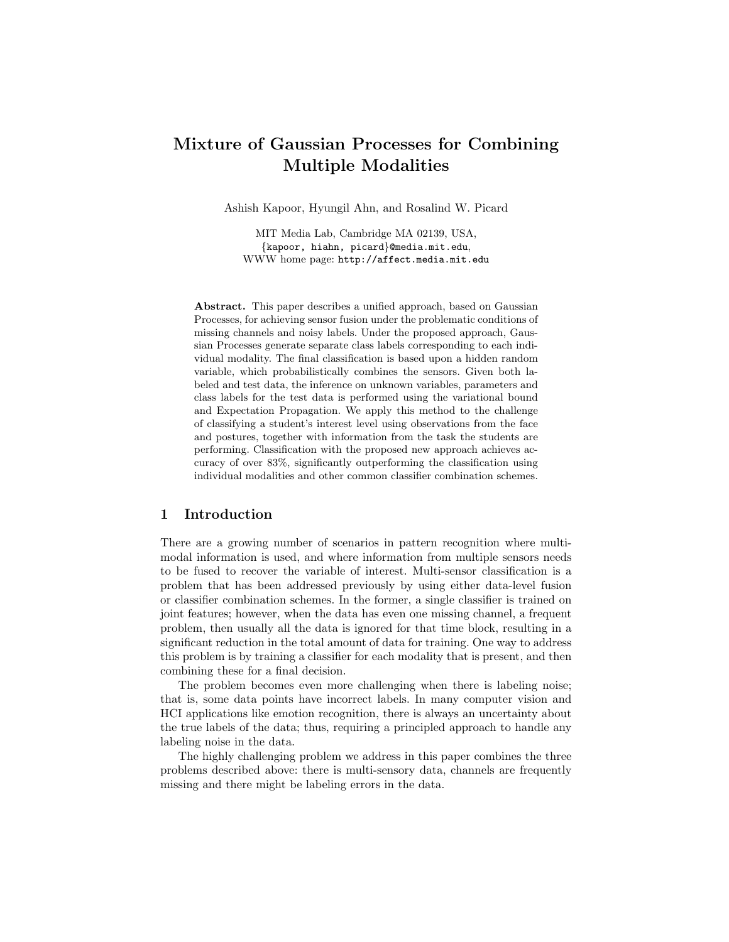# Mixture of Gaussian Processes for Combining Multiple Modalities

Ashish Kapoor, Hyungil Ahn, and Rosalind W. Picard

MIT Media Lab, Cambridge MA 02139, USA, {kapoor, hiahn, picard}@media.mit.edu, WWW home page: http://affect.media.mit.edu

Abstract. This paper describes a unified approach, based on Gaussian Processes, for achieving sensor fusion under the problematic conditions of missing channels and noisy labels. Under the proposed approach, Gaussian Processes generate separate class labels corresponding to each individual modality. The final classification is based upon a hidden random variable, which probabilistically combines the sensors. Given both labeled and test data, the inference on unknown variables, parameters and class labels for the test data is performed using the variational bound and Expectation Propagation. We apply this method to the challenge of classifying a student's interest level using observations from the face and postures, together with information from the task the students are performing. Classification with the proposed new approach achieves accuracy of over 83%, significantly outperforming the classification using individual modalities and other common classifier combination schemes.

# 1 Introduction

There are a growing number of scenarios in pattern recognition where multimodal information is used, and where information from multiple sensors needs to be fused to recover the variable of interest. Multi-sensor classification is a problem that has been addressed previously by using either data-level fusion or classifier combination schemes. In the former, a single classifier is trained on joint features; however, when the data has even one missing channel, a frequent problem, then usually all the data is ignored for that time block, resulting in a significant reduction in the total amount of data for training. One way to address this problem is by training a classifier for each modality that is present, and then combining these for a final decision.

The problem becomes even more challenging when there is labeling noise; that is, some data points have incorrect labels. In many computer vision and HCI applications like emotion recognition, there is always an uncertainty about the true labels of the data; thus, requiring a principled approach to handle any labeling noise in the data.

The highly challenging problem we address in this paper combines the three problems described above: there is multi-sensory data, channels are frequently missing and there might be labeling errors in the data.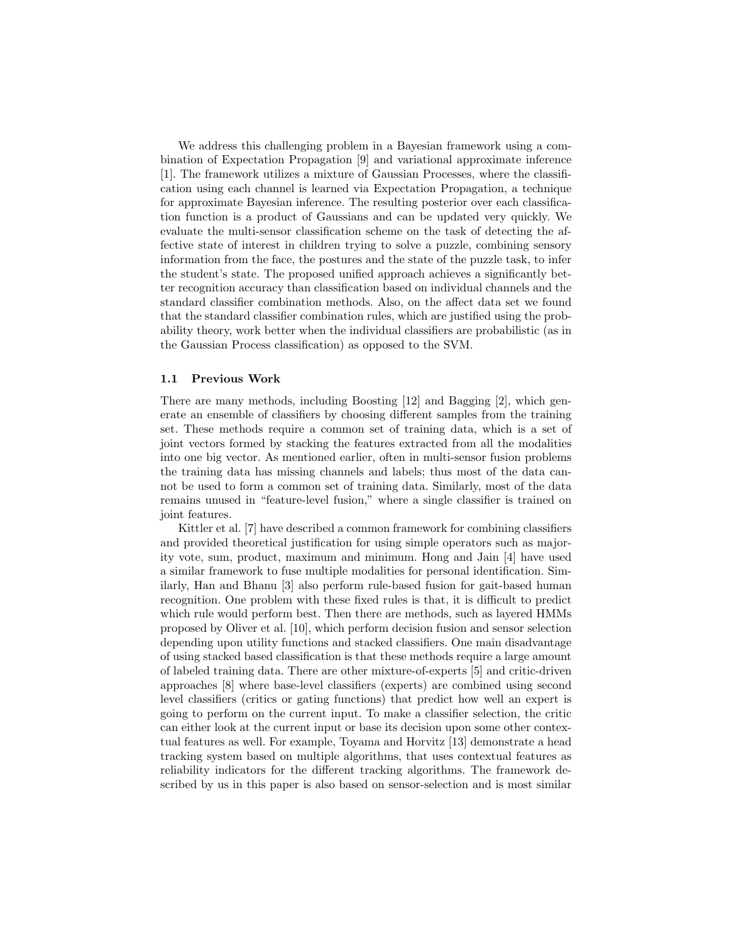We address this challenging problem in a Bayesian framework using a combination of Expectation Propagation [9] and variational approximate inference [1]. The framework utilizes a mixture of Gaussian Processes, where the classification using each channel is learned via Expectation Propagation, a technique for approximate Bayesian inference. The resulting posterior over each classification function is a product of Gaussians and can be updated very quickly. We evaluate the multi-sensor classification scheme on the task of detecting the affective state of interest in children trying to solve a puzzle, combining sensory information from the face, the postures and the state of the puzzle task, to infer the student's state. The proposed unified approach achieves a significantly better recognition accuracy than classification based on individual channels and the standard classifier combination methods. Also, on the affect data set we found that the standard classifier combination rules, which are justified using the probability theory, work better when the individual classifiers are probabilistic (as in the Gaussian Process classification) as opposed to the SVM.

#### 1.1 Previous Work

There are many methods, including Boosting [12] and Bagging [2], which generate an ensemble of classifiers by choosing different samples from the training set. These methods require a common set of training data, which is a set of joint vectors formed by stacking the features extracted from all the modalities into one big vector. As mentioned earlier, often in multi-sensor fusion problems the training data has missing channels and labels; thus most of the data cannot be used to form a common set of training data. Similarly, most of the data remains unused in "feature-level fusion," where a single classifier is trained on joint features.

Kittler et al. [7] have described a common framework for combining classifiers and provided theoretical justification for using simple operators such as majority vote, sum, product, maximum and minimum. Hong and Jain [4] have used a similar framework to fuse multiple modalities for personal identification. Similarly, Han and Bhanu [3] also perform rule-based fusion for gait-based human recognition. One problem with these fixed rules is that, it is difficult to predict which rule would perform best. Then there are methods, such as layered HMMs proposed by Oliver et al. [10], which perform decision fusion and sensor selection depending upon utility functions and stacked classifiers. One main disadvantage of using stacked based classification is that these methods require a large amount of labeled training data. There are other mixture-of-experts [5] and critic-driven approaches [8] where base-level classifiers (experts) are combined using second level classifiers (critics or gating functions) that predict how well an expert is going to perform on the current input. To make a classifier selection, the critic can either look at the current input or base its decision upon some other contextual features as well. For example, Toyama and Horvitz [13] demonstrate a head tracking system based on multiple algorithms, that uses contextual features as reliability indicators for the different tracking algorithms. The framework described by us in this paper is also based on sensor-selection and is most similar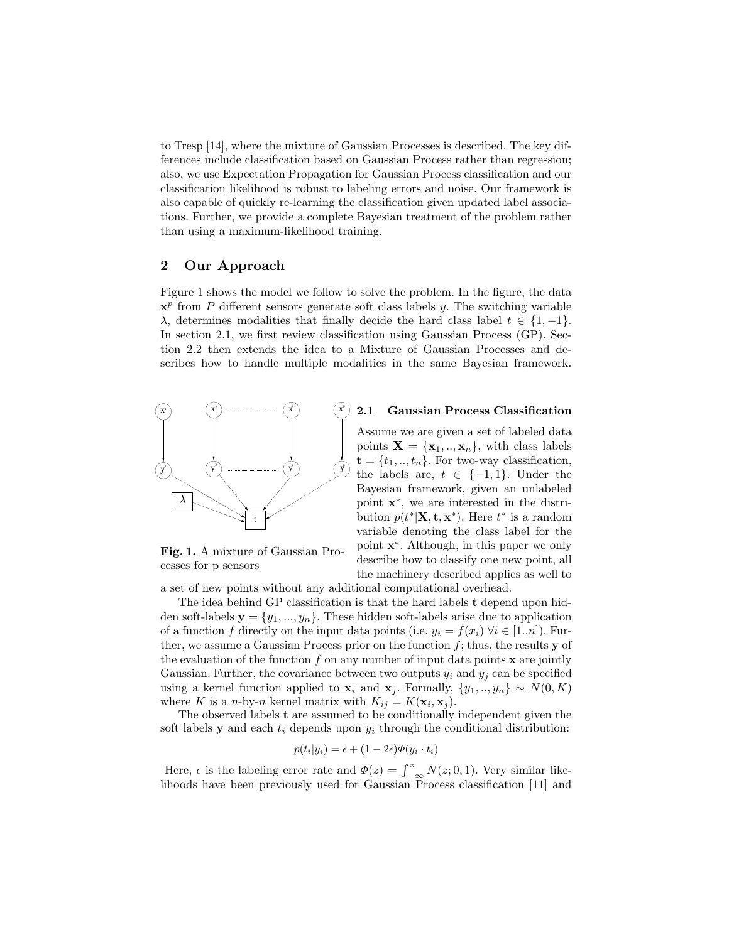to Tresp [14], where the mixture of Gaussian Processes is described. The key differences include classification based on Gaussian Process rather than regression; also, we use Expectation Propagation for Gaussian Process classification and our classification likelihood is robust to labeling errors and noise. Our framework is also capable of quickly re-learning the classification given updated label associations. Further, we provide a complete Bayesian treatment of the problem rather than using a maximum-likelihood training.

# 2 Our Approach

Figure 1 shows the model we follow to solve the problem. In the figure, the data  $\mathbf{x}^p$  from P different sensors generate soft class labels y. The switching variable λ, determines modalities that finally decide the hard class label  $t \in \{1, -1\}$ . In section 2.1, we first review classification using Gaussian Process (GP). Section 2.2 then extends the idea to a Mixture of Gaussian Processes and describes how to handle multiple modalities in the same Bayesian framework.



#### PSfrag replacements

Fig. 1. A mixture of Gaussian Processes for p sensors

#### 2.1 Gaussian Process Classification

Assume we are given a set of labeled data points  $\mathbf{X} = {\mathbf{x}_1, ..., \mathbf{x}_n}$ , with class labels  $\mathbf{t} = \{t_1, ..., t_n\}$ . For two-way classification, the labels are,  $t \in \{-1,1\}$ . Under the Bayesian framework, given an unlabeled point x ∗ , we are interested in the distribution  $p(t^*|\mathbf{X}, \mathbf{t}, \mathbf{x}^*)$ . Here  $t^*$  is a random variable denoting the class label for the point x ∗ . Although, in this paper we only describe how to classify one new point, all the machinery described applies as well to

a set of new points without any additional computational overhead.

The idea behind GP classification is that the hard labels t depend upon hidden soft-labels  $y = \{y_1, ..., y_n\}$ . These hidden soft-labels arise due to application of a function f directly on the input data points (i.e.  $y_i = f(x_i)$   $\forall i \in [1..n]$ ). Further, we assume a Gaussian Process prior on the function  $f$ ; thus, the results y of the evaluation of the function  $f$  on any number of input data points  $\bf{x}$  are jointly Gaussian. Further, the covariance between two outputs  $y_i$  and  $y_j$  can be specified using a kernel function applied to  $\mathbf{x}_i$  and  $\mathbf{x}_j$ . Formally,  $\{y_1, ..., y_n\} \sim N(0, K)$ where K is a *n*-by-*n* kernel matrix with  $K_{ij} = K(\mathbf{x}_i, \mathbf{x}_j)$ .

The observed labels t are assumed to be conditionally independent given the soft labels **y** and each  $t_i$  depends upon  $y_i$  through the conditional distribution:

$$
p(t_i|y_i) = \epsilon + (1 - 2\epsilon)\Phi(y_i \cdot t_i)
$$

Here,  $\epsilon$  is the labeling error rate and  $\Phi(z) = \int_{-\infty}^{z} N(z; 0, 1)$ . Very similar likelihoods have been previously used for Gaussian Process classification [11] and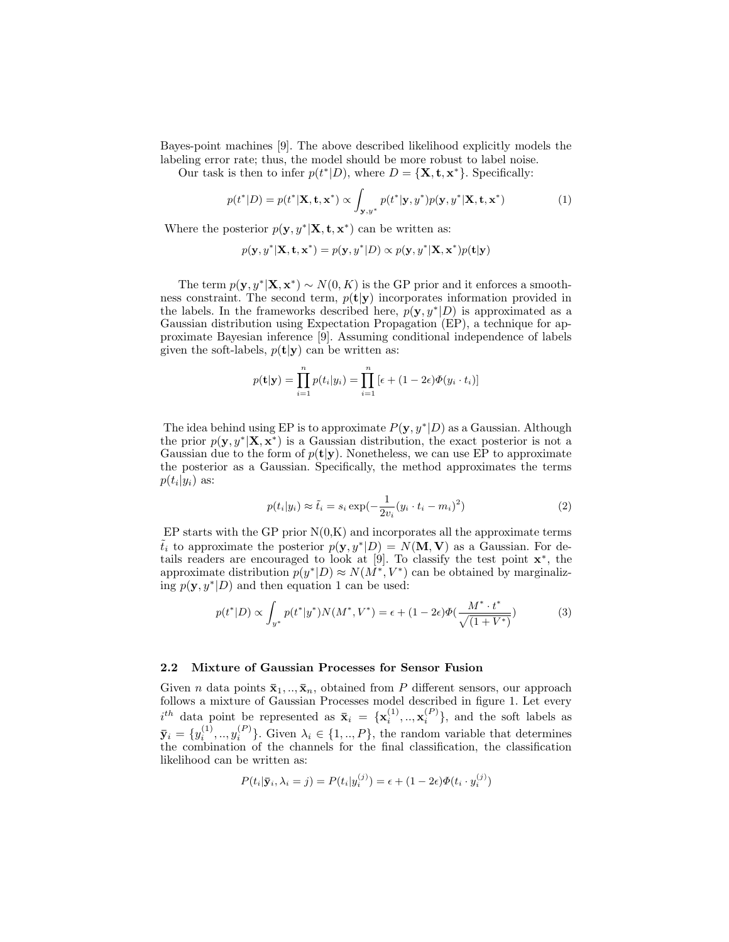Bayes-point machines [9]. The above described likelihood explicitly models the labeling error rate; thus, the model should be more robust to label noise.

Our task is then to infer  $p(t^*|D)$ , where  $D = {\mathbf{X}, \mathbf{t}, \mathbf{x}^*}$ . Specifically:

$$
p(t^*|D) = p(t^*|\mathbf{X}, \mathbf{t}, \mathbf{x}^*) \propto \int_{\mathbf{y}, y^*} p(t^*|\mathbf{y}, y^*) p(\mathbf{y}, y^*|\mathbf{X}, \mathbf{t}, \mathbf{x}^*)
$$
(1)

Where the posterior  $p(\mathbf{y}, y^*|\mathbf{X}, \mathbf{t}, \mathbf{x}^*)$  can be written as:

$$
p(\mathbf{y}, y^*|\mathbf{X}, \mathbf{t}, \mathbf{x}^*) = p(\mathbf{y}, y^*|D) \propto p(\mathbf{y}, y^*|\mathbf{X}, \mathbf{x}^*)p(\mathbf{t}|\mathbf{y})
$$

The term  $p(\mathbf{y}, y^*|\mathbf{X}, \mathbf{x}^*) \sim N(0, K)$  is the GP prior and it enforces a smoothness constraint. The second term,  $p(\mathbf{t}|\mathbf{y})$  incorporates information provided in the labels. In the frameworks described here,  $p(y, y^*|D)$  is approximated as a Gaussian distribution using Expectation Propagation (EP), a technique for approximate Bayesian inference [9]. Assuming conditional independence of labels given the soft-labels,  $p(\mathbf{t}|\mathbf{y})$  can be written as:

$$
p(\mathbf{t}|\mathbf{y}) = \prod_{i=1}^{n} p(t_i|y_i) = \prod_{i=1}^{n} \left[\epsilon + (1 - 2\epsilon)\Phi(y_i \cdot t_i)\right]
$$

The idea behind using EP is to approximate  $P(y, y^*|D)$  as a Gaussian. Although the prior  $p(\mathbf{y}, y^*|\mathbf{X}, \mathbf{x}^*)$  is a Gaussian distribution, the exact posterior is not a Gaussian due to the form of  $p(t|y)$ . Nonetheless, we can use EP to approximate the posterior as a Gaussian. Specifically, the method approximates the terms  $p(t_i|y_i)$  as:

$$
p(t_i|y_i) \approx \tilde{t}_i = s_i \exp(-\frac{1}{2v_i}(y_i \cdot t_i - m_i)^2)
$$
\n<sup>(2)</sup>

EP starts with the GP prior  $N(0,K)$  and incorporates all the approximate terms  $\tilde{t}_i$  to approximate the posterior  $p(\mathbf{y}, y^* | D) = N(\mathbf{M}, \mathbf{V})$  as a Gaussian. For details readers are encouraged to look at [9]. To classify the test point  $\mathbf{x}^*$ , the approximate distribution  $p(y^*|D) \approx N(M^*, V^*)$  can be obtained by marginalizing  $p(\mathbf{y}, y^* | D)$  and then equation 1 can be used:

$$
p(t^*|D) \propto \int_{y^*} p(t^*|y^*) N(M^*, V^*) = \epsilon + (1 - 2\epsilon) \Phi(\frac{M^* \cdot t^*}{\sqrt{(1 + V^*)}})
$$
(3)

#### 2.2 Mixture of Gaussian Processes for Sensor Fusion

Given n data points  $\bar{\mathbf{x}}_1, ..., \bar{\mathbf{x}}_n$ , obtained from P different sensors, our approach follows a mixture of Gaussian Processes model described in figure 1. Let every  $i^{th}$  data point be represented as  $\bar{\mathbf{x}}_i = {\mathbf{x}_i^{(1)}, \dots, \mathbf{x}_i^{(P)}}$ , and the soft labels as  $\bar{\mathbf{y}}_i = \{y_i^{(1)},..,y_i^{(P)}\}$ . Given  $\lambda_i \in \{1,..,P\}$ , the random variable that determines the combination of the channels for the final classification, the classification likelihood can be written as:

$$
P(t_i|\bar{\mathbf{y}}_i,\lambda_i=j) = P(t_i|y_i^{(j)}) = \epsilon + (1-2\epsilon)\Phi(t_i \cdot y_i^{(j)})
$$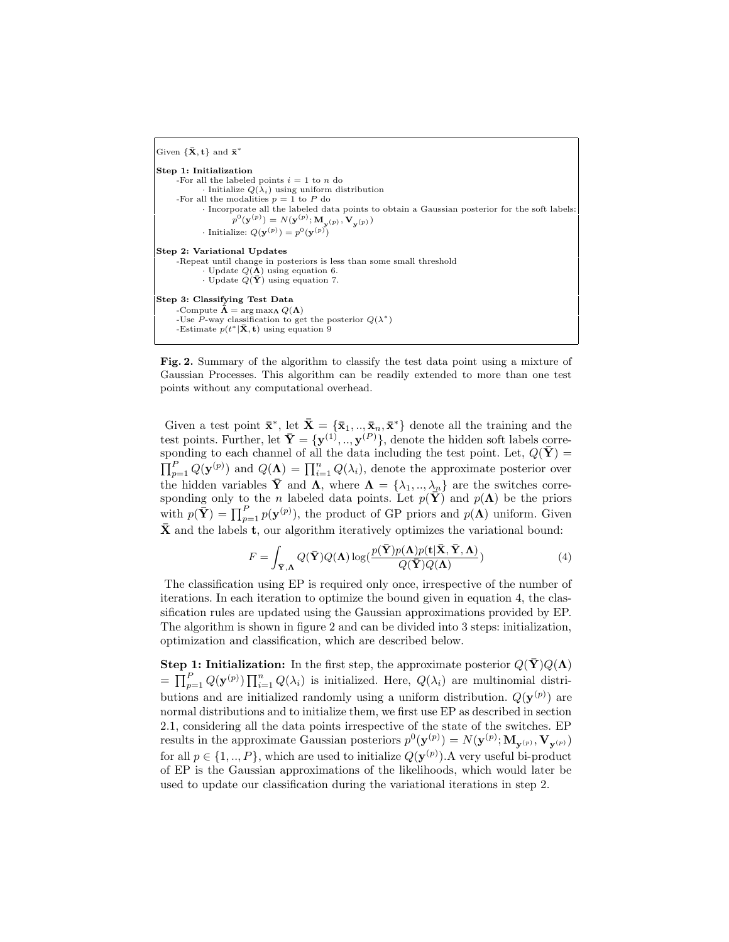```
Given \{\bar{\mathbf{X}}, \mathbf{t}\} and \bar{\mathbf{x}}^*Step 1: Initialization
      -For all the labeled points i = 1 to n do
               · Initialize Q(\lambda_i) using uniform distribution
      -For all the modalities p = 1 to P do
               · Incorporate all the labeled data points to obtain a Gaussian posterior for the soft labels:
                         p^0(\mathbf{y}^{(p)}) = N(\mathbf{y}^{(p)}; \mathbf{M}_{\mathbf{y}^{(p)}}, \mathbf{V}_{\mathbf{y}^{(p)}})· Initialize: Q(\mathbf{y}^{(p)}) = p^0(\mathbf{y}^{(p)})Step 2: Variational Updates
      -Repeat until change in posteriors is less than some small threshold
               Update Q(\Lambda) using equation 6.
               \cdot Update Q(\bar{Y}) using equation 7.
Step 3: Classifying Test Data
      -Compute \mathbf{\hat{\Lambda}} = \arg \max_{\mathbf{\Lambda}} Q(\mathbf{\Lambda})-Use P-way classification to get the posterior Q(\lambda^*)-Estimate p(t^*|\bar{\mathbf{X}}, \mathbf{t}) using equation 9
```
Fig. 2. Summary of the algorithm to classify the test data point using a mixture of Gaussian Processes. This algorithm can be readily extended to more than one test points without any computational overhead.

Given a test point  $\bar{\mathbf{x}}^*$ , let  $\bar{\mathbf{X}} = {\bar{\mathbf{x}}_1, ..., \bar{\mathbf{x}}_n, \bar{\mathbf{x}}^*}$  denote all the training and the test points. Further, let  $\bar{\mathbf{Y}} = {\{\mathbf{y}^{(1)}, ..., \mathbf{y}^{(P)}\}}$ , denote the hidden soft labels corresponding to each channel of all the data including the test point. Let,  $Q(\bar{Y}) =$  $\prod_{p=1}^{P} Q(\mathbf{y}^{(p)})$  and  $Q(\mathbf{\Lambda}) = \prod_{i=1}^{n} Q(\lambda_i)$ , denote the approximate posterior over the hidden variables  $\bar{Y}$  and  $\Lambda$ , where  $\Lambda = {\lambda_1, ..., \lambda_n}$  are the switches corresponding only to the n labeled data points. Let  $p(\bar{Y})$  and  $p(\Lambda)$  be the priors with  $p(\bar{Y}) = \prod_{p=1}^{P} p(\mathbf{y}^{(p)})$ , the product of GP priors and  $p(\Lambda)$  uniform. Given  $\bar{\mathbf{X}}$  and the labels t, our algorithm iteratively optimizes the variational bound:

$$
F = \int_{\bar{\mathbf{Y}}, \mathbf{\Lambda}} Q(\bar{\mathbf{Y}}) Q(\mathbf{\Lambda}) \log(\frac{p(\bar{\mathbf{Y}}) p(\mathbf{\Lambda}) p(\mathbf{t} | \bar{\mathbf{X}}, \bar{\mathbf{Y}}, \mathbf{\Lambda})}{Q(\bar{\mathbf{Y}}) Q(\mathbf{\Lambda})})
$$
(4)

The classification using EP is required only once, irrespective of the number of iterations. In each iteration to optimize the bound given in equation 4, the classification rules are updated using the Gaussian approximations provided by EP. The algorithm is shown in figure 2 and can be divided into 3 steps: initialization, optimization and classification, which are described below.

**Step 1: Initialization:** In the first step, the approximate posterior  $Q(\bar{Y})Q(\Lambda)$  $=\prod_{p=1}^P Q(\mathbf{y}^{(p)}) \prod_{i=1}^n Q(\lambda_i)$  is initialized. Here,  $Q(\lambda_i)$  are multinomial distributions and are initialized randomly using a uniform distribution.  $Q(\mathbf{y}^{(p)})$  are normal distributions and to initialize them, we first use EP as described in section 2.1, considering all the data points irrespective of the state of the switches. EP results in the approximate Gaussian posteriors  $p^0(\mathbf{y}^{(p)}) = N(\mathbf{y}^{(p)}; \mathbf{M}_{\mathbf{y}^{(p)}}, \mathbf{V}_{\mathbf{y}^{(p)}})$ for all  $p \in \{1, ..., P\}$ , which are used to initialize  $Q(\mathbf{y}^{(p)})$ . A very useful bi-product of EP is the Gaussian approximations of the likelihoods, which would later be used to update our classification during the variational iterations in step 2.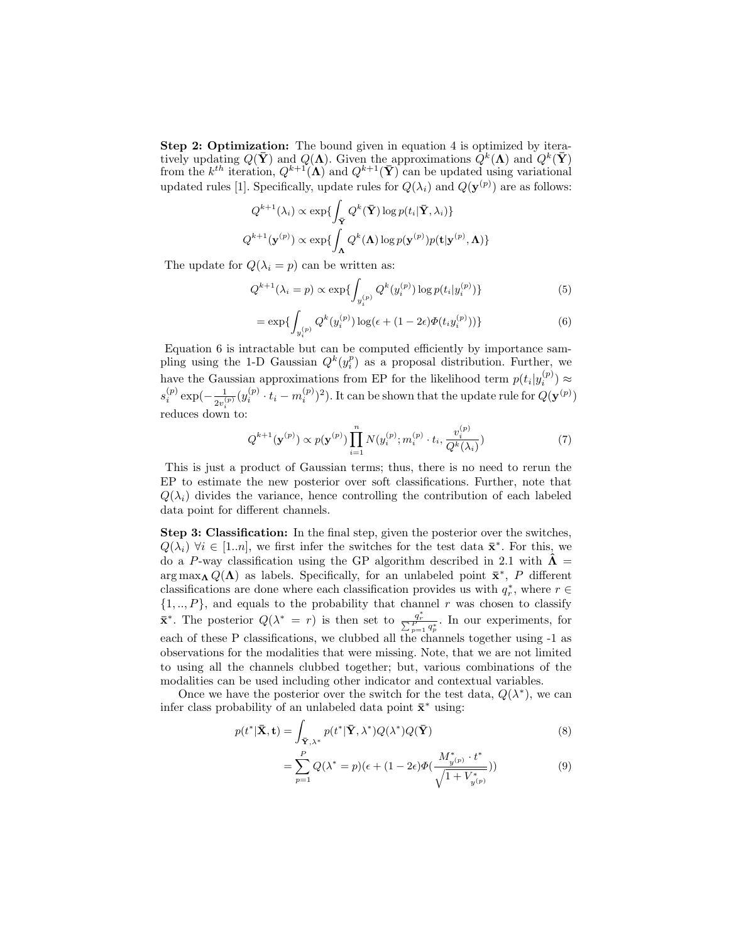Step 2: Optimization: The bound given in equation 4 is optimized by iteratively updating  $Q(\bar{Y})$  and  $Q(\Lambda)$ . Given the approximations  $\dot{Q}^k(\Lambda)$  and  $Q^k(\bar{Y})$ from the  $k^{th}$  iteration,  $Q^{k+1}(\Lambda)$  and  $Q^{k+1}(\bar{Y})$  can be updated using variational updated rules [1]. Specifically, update rules for  $Q(\lambda_i)$  and  $Q(\mathbf{y}^{(p)})$  are as follows:

$$
Q^{k+1}(\lambda_i) \propto \exp\{\int_{\overline{\mathbf{Y}}} Q^k(\overline{\mathbf{Y}}) \log p(t_i | \overline{\mathbf{Y}}, \lambda_i)\}
$$
  

$$
Q^{k+1}(\mathbf{y}^{(p)}) \propto \exp\{\int_{\mathbf{\Lambda}} Q^k(\mathbf{\Lambda}) \log p(\mathbf{y}^{(p)}) p(\mathbf{t} | \mathbf{y}^{(p)}, \mathbf{\Lambda})\}
$$

The update for  $Q(\lambda_i = p)$  can be written as:

$$
Q^{k+1}(\lambda_i = p) \propto \exp\{\int_{y_i^{(p)}} Q^k(y_i^{(p)}) \log p(t_i | y_i^{(p)})\}
$$
(5)

$$
= \exp\{\int_{y_i^{(p)}} Q^k(y_i^{(p)}) \log(\epsilon + (1 - 2\epsilon) \Phi(t_i y_i^{(p)}))\}\
$$
(6)

Equation 6 is intractable but can be computed efficiently by importance sampling using the 1-D Gaussian  $Q^k(y_i^p)$  as a proposal distribution. Further, we have the Gaussian approximations from EP for the likelihood term  $p(t_i|y_i^{(p)}) \approx$  $s_i^{(p)} \exp(-\frac{1}{2v_0^{(p)}})$  $\frac{1}{2v_i^{(p)}}(y_i^{(p)} \cdot t_i - m_i^{(p)})^2$ ). It can be shown that the update rule for  $Q(\mathbf{y}^{(p)})$ reduces down to:

$$
Q^{k+1}(\mathbf{y}^{(p)}) \propto p(\mathbf{y}^{(p)}) \prod_{i=1}^{n} N(y_i^{(p)}; m_i^{(p)} \cdot t_i, \frac{v_i^{(p)}}{Q^k(\lambda_i)})
$$
(7)

This is just a product of Gaussian terms; thus, there is no need to rerun the EP to estimate the new posterior over soft classifications. Further, note that  $Q(\lambda_i)$  divides the variance, hence controlling the contribution of each labeled data point for different channels.

Step 3: Classification: In the final step, given the posterior over the switches,  $Q(\lambda_i)$   $\forall i \in [1..n]$ , we first infer the switches for the test data  $\bar{\mathbf{x}}^*$ . For this, we do a P-way classification using the GP algorithm described in 2.1 with  $\hat{\Lambda}$  =  $\arg \max_{\mathbf{\Lambda}} Q(\mathbf{\Lambda})$  as labels. Specifically, for an unlabeled point  $\bar{\mathbf{x}}^*, P$  different classifications are done where each classification provides us with  $q_r^*$ , where  $r \in$  $\{1, ..., P\}$ , and equals to the probability that channel r was chosen to classify  $\bar{\mathbf{x}}^*$ . The posterior  $Q(\lambda^* = r)$  is then set to  $\frac{q_r^*}{\sum_{p=1}^P q_p^*}$ . In our experiments, for each of these P classifications, we clubbed all the channels together using -1 as observations for the modalities that were missing. Note, that we are not limited to using all the channels clubbed together; but, various combinations of the modalities can be used including other indicator and contextual variables.

Once we have the posterior over the switch for the test data,  $Q(\lambda^*)$ , we can infer class probability of an unlabeled data point  $\bar{\mathbf{x}}^*$  using:

$$
p(t^*|\bar{\mathbf{X}}, \mathbf{t}) = \int_{\bar{\mathbf{Y}}, \lambda^*} p(t^*|\bar{\mathbf{Y}}, \lambda^*) Q(\lambda^*) Q(\bar{\mathbf{Y}})
$$
(8)

$$
= \sum_{p=1}^{P} Q(\lambda^* = p)(\epsilon + (1 - 2\epsilon)\Phi(\frac{M_{y^{(p)}}^* \cdot t^*}{\sqrt{1 + V_{y^{(p)}}^*}}))
$$
(9)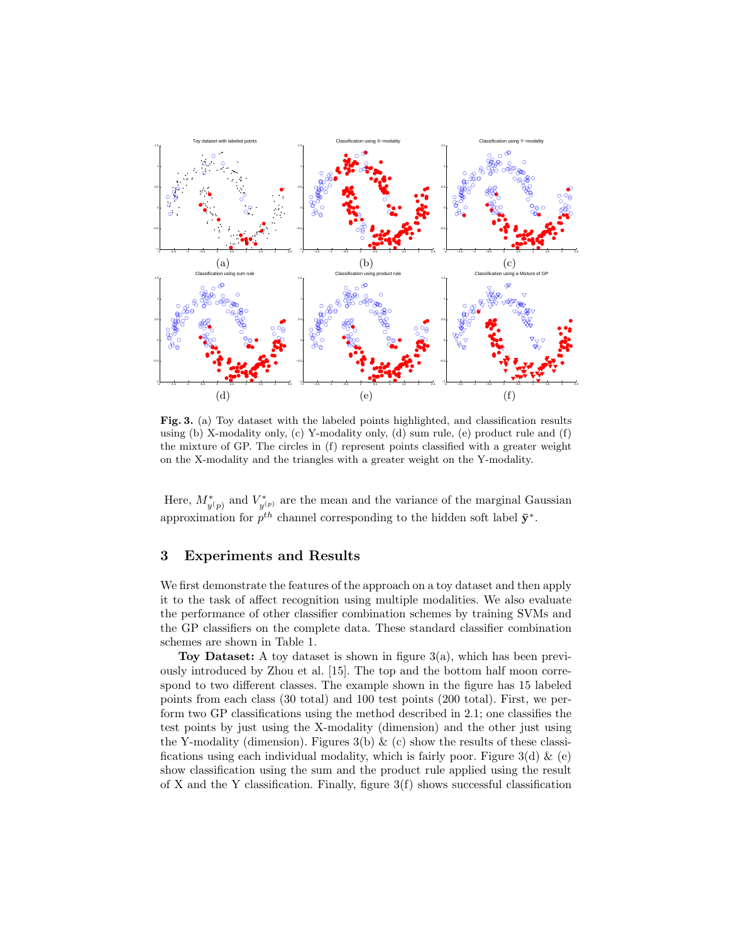

Fig. 3. (a) Toy dataset with the labeled points highlighted, and classification results using (b) X-modality only, (c) Y-modality only, (d) sum rule, (e) product rule and  $(f)$ the mixture of GP. The circles in (f) represent points classified with a greater weight on the X-modality and the triangles with a greater weight on the Y-modality.

Here,  $M^*_{y(p)}$  and  $V^*_{y^{(p)}}$  are the mean and the variance of the marginal Gaussian approximation for  $p^{th}$  channel corresponding to the hidden soft label  $\bar{y}^*$ .

# 3 Experiments and Results

We first demonstrate the features of the approach on a toy dataset and then apply it to the task of affect recognition using multiple modalities. We also evaluate the performance of other classifier combination schemes by training SVMs and the GP classifiers on the complete data. These standard classifier combination schemes are shown in Table 1.

Toy Dataset: A toy dataset is shown in figure 3(a), which has been previously introduced by Zhou et al. [15]. The top and the bottom half moon correspond to two different classes. The example shown in the figure has 15 labeled points from each class (30 total) and 100 test points (200 total). First, we perform two GP classifications using the method described in 2.1; one classifies the test points by just using the X-modality (dimension) and the other just using the Y-modality (dimension). Figures 3(b)  $\&$  (c) show the results of these classifications using each individual modality, which is fairly poor. Figure 3(d)  $\&$  (e) show classification using the sum and the product rule applied using the result of X and the Y classification. Finally, figure  $3(f)$  shows successful classification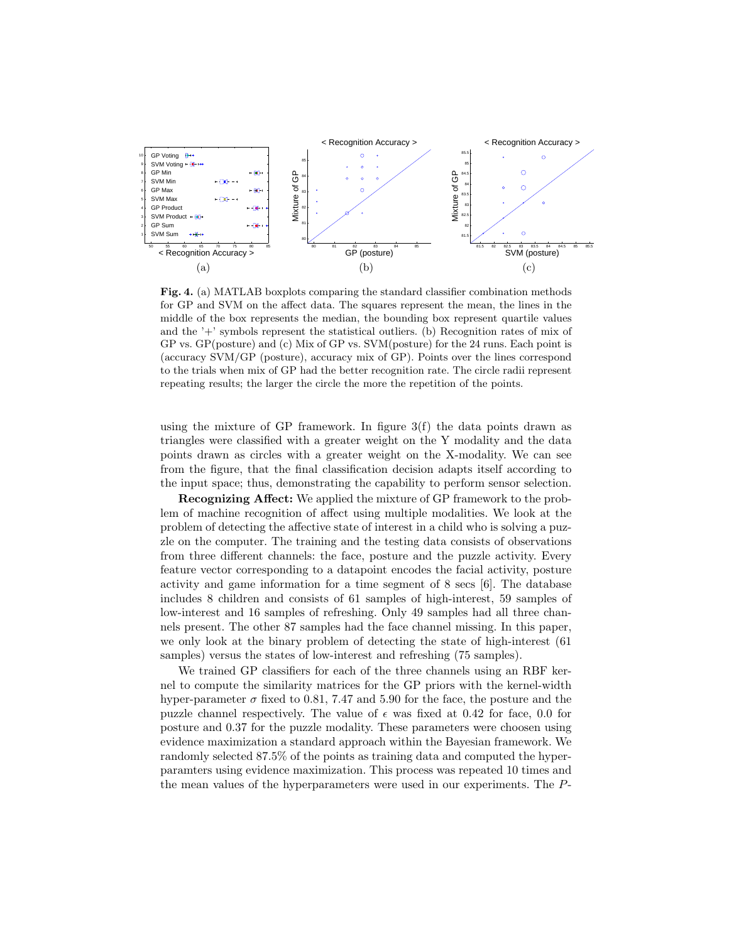

Fig. 4. (a) MATLAB boxplots comparing the standard classifier combination methods for GP and SVM on the affect data. The squares represent the mean, the lines in the middle of the box represents the median, the bounding box represent quartile values and the  $'$ +' symbols represent the statistical outliers. (b) Recognition rates of mix of GP vs. GP(posture) and (c) Mix of GP vs. SVM(posture) for the 24 runs. Each point is (accuracy SVM/GP (posture), accuracy mix of GP). Points over the lines correspond to the trials when mix of GP had the better recognition rate. The circle radii represent repeating results; the larger the circle the more the repetition of the points.

using the mixture of GP framework. In figure  $3(f)$  the data points drawn as triangles were classified with a greater weight on the Y modality and the data points drawn as circles with a greater weight on the X-modality. We can see from the figure, that the final classification decision adapts itself according to the input space; thus, demonstrating the capability to perform sensor selection.

Recognizing Affect: We applied the mixture of GP framework to the problem of machine recognition of affect using multiple modalities. We look at the problem of detecting the affective state of interest in a child who is solving a puzzle on the computer. The training and the testing data consists of observations from three different channels: the face, posture and the puzzle activity. Every feature vector corresponding to a datapoint encodes the facial activity, posture activity and game information for a time segment of 8 secs [6]. The database includes 8 children and consists of 61 samples of high-interest, 59 samples of low-interest and 16 samples of refreshing. Only 49 samples had all three channels present. The other 87 samples had the face channel missing. In this paper, we only look at the binary problem of detecting the state of high-interest (61 samples) versus the states of low-interest and refreshing (75 samples).

We trained GP classifiers for each of the three channels using an RBF kernel to compute the similarity matrices for the GP priors with the kernel-width hyper-parameter  $\sigma$  fixed to 0.81, 7.47 and 5.90 for the face, the posture and the puzzle channel respectively. The value of  $\epsilon$  was fixed at 0.42 for face, 0.0 for posture and 0.37 for the puzzle modality. These parameters were choosen using evidence maximization a standard approach within the Bayesian framework. We randomly selected 87.5% of the points as training data and computed the hyperparamters using evidence maximization. This process was repeated 10 times and the mean values of the hyperparameters were used in our experiments. The P-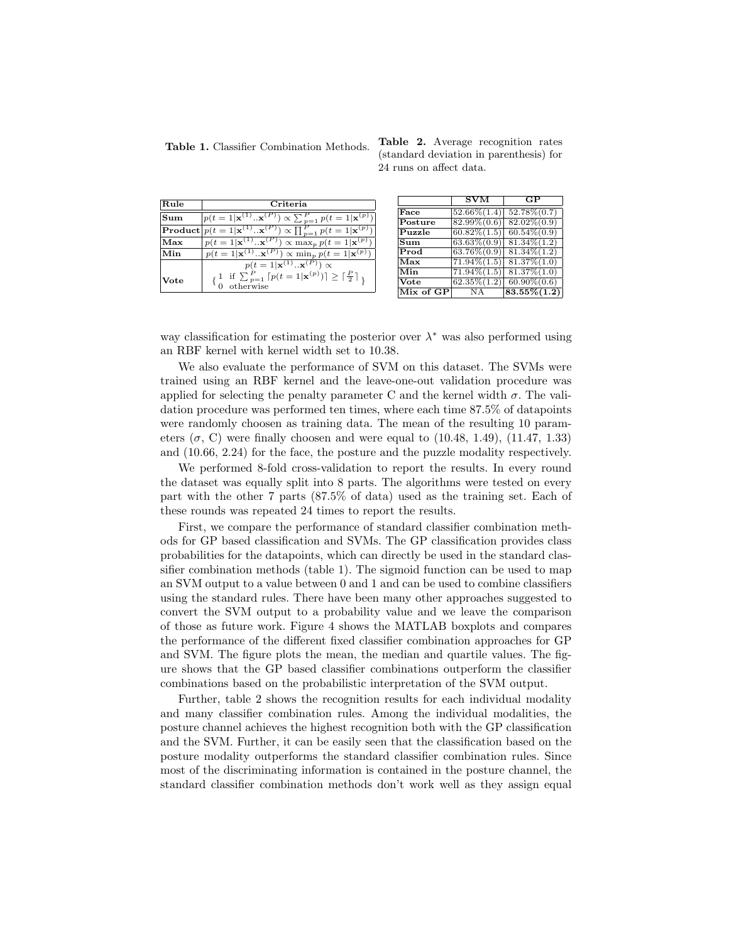Table 1. Classifier Combination Methods.

|  |                         | Table 2. Average recognition rates      |  |
|--|-------------------------|-----------------------------------------|--|
|  |                         | (standard deviation in parenthesis) for |  |
|  | 24 runs on affect data. |                                         |  |

| Rule                      | Criteria                                                                                                     |
|---------------------------|--------------------------------------------------------------------------------------------------------------|
| Sum                       | $p(t = 1 \mathbf{x}^{(1)}\mathbf{x}^{(P)}) \propto \sum_{p=1}^{P} p(t = 1 \mathbf{x}^{(p)})$                 |
|                           | <b>Product</b> $p(t = 1 \mathbf{x}^{(1)}\mathbf{x}^{(P)}) \propto \prod_{n=1}^{P} p(t = 1 \mathbf{x}^{(p)})$ |
| Max                       | $p(t = 1 \mathbf{x}^{(1)}\mathbf{x}^{(P)}) \propto \max_{p} p(t = 1 \mathbf{x}^{(p)})$                       |
| Min                       | $p(t = 1 \mathbf{x}^{(1)}\mathbf{x}^{(P)}) \propto \min_{p} p(t = 1 \mathbf{x}^{(p)})$                       |
|                           | $p(t = 1 \mathbf{x}^{(1)}\mathbf{x}^{(P)}) \propto$                                                          |
| $\operatorname{\bf Vote}$ | if $\sum_{p=1}^{P} [p(t=1 \mathbf{x}^{(p)})] \geq \lceil \frac{P}{2} \rceil$<br>otherwise                    |

SVM GF Face  $52.66\%(1.4)$   $52.78\%(0.7)$ <br>Posture  $82.99\%(0.6)$   $82.02\%(0.7)$ **Posture**  $82.99\%(0.6) 82.02\%(0.9)$ <br>**Puzzle**  $60.82\%(1.5) 60.54\%(0.9)$  $60.82\%(1.5) \mid 60.54\%(0.9)$  $\textbf{Sum}$  63.63%(0.9) 81.34%(1.2) **Prod**  $63.76\%(0.9)$   $81.34\%(1.2)$ Max  $71.94\%(1.5)$   $81.37\%(1.0)$ <br>Min  $71.94\%(1.5)$   $81.37\%(1.0)$  $71.94\% (1.5)$  $\frac{\text{Vote}}{\text{Mix of GP}}$  62.35%(1.2) 60.90%(0.6)  $83.55\% (1.2)$ 

way classification for estimating the posterior over  $\lambda^*$  was also performed using an RBF kernel with kernel width set to 10.38.

We also evaluate the performance of SVM on this dataset. The SVMs were trained using an RBF kernel and the leave-one-out validation procedure was applied for selecting the penalty parameter C and the kernel width  $\sigma$ . The validation procedure was performed ten times, where each time 87.5% of datapoints were randomly choosen as training data. The mean of the resulting 10 parameters  $(\sigma, C)$  were finally choosen and were equal to  $(10.48, 1.49), (11.47, 1.33)$ and (10.66, 2.24) for the face, the posture and the puzzle modality respectively.

We performed 8-fold cross-validation to report the results. In every round the dataset was equally split into 8 parts. The algorithms were tested on every part with the other 7 parts (87.5% of data) used as the training set. Each of these rounds was repeated 24 times to report the results.

First, we compare the performance of standard classifier combination methods for GP based classification and SVMs. The GP classification provides class probabilities for the datapoints, which can directly be used in the standard classifier combination methods (table 1). The sigmoid function can be used to map an SVM output to a value between 0 and 1 and can be used to combine classifiers using the standard rules. There have been many other approaches suggested to convert the SVM output to a probability value and we leave the comparison of those as future work. Figure 4 shows the MATLAB boxplots and compares the performance of the different fixed classifier combination approaches for GP and SVM. The figure plots the mean, the median and quartile values. The figure shows that the GP based classifier combinations outperform the classifier combinations based on the probabilistic interpretation of the SVM output.

Further, table 2 shows the recognition results for each individual modality and many classifier combination rules. Among the individual modalities, the posture channel achieves the highest recognition both with the GP classification and the SVM. Further, it can be easily seen that the classification based on the posture modality outperforms the standard classifier combination rules. Since most of the discriminating information is contained in the posture channel, the standard classifier combination methods don't work well as they assign equal